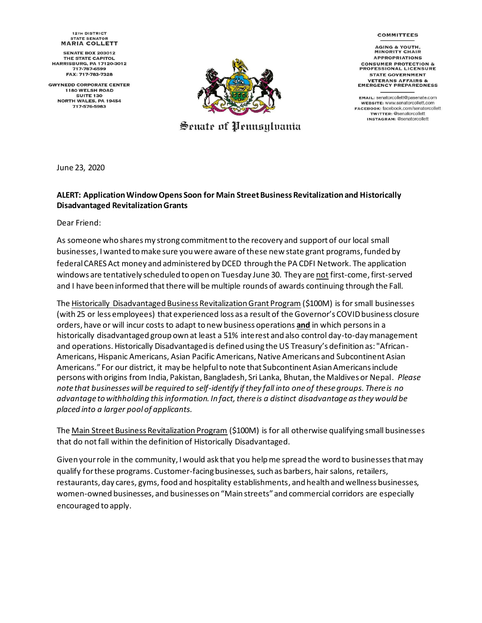## **COMMITTEES**

**AGING & YOUTH,<br>MINORITY CHAIR APPROPRIATIONS CONSUMER PROTECTION &<br>PROFESSIONAL LICENSURE STATE GOVERNMENT VETERANS AFFAIRS &<br>EMERGENCY PREPAREDNESS** 

EMAIL: senatorcollett@pasenate.com WEBSITE: WWW.senatorcollett.com FACEBOOK: facebook.com/senatorcollett **TWITTER: @senatorcollett INSTAGRAM: @senatorcollett** 

**12TH DISTRICT STATE SENATOR MARIA COLLETT** 

**SENATE BOX 203012 THE STATE CAPITOL HARRISBURG, PA 17120-3012** 717-787-6599 FAX: 717-783-7328

**GWYNEDD CORPORATE CENTER 1180 WELSH ROAD SUITE 130** NORTH WALES, PA 19454 717-576-5983



Senate of Pennsylvania

June 23, 2020

## **ALERT: Application Window Opens Soon for Main Street Business Revitalization and Historically Disadvantaged Revitalization Grants**

Dear Friend:

As someone who shares my strong commitment to the recovery and support of our local small businesses, I wanted to make sure you were aware of these new state grant programs, funded by federal CARES Act money and administered by DCED through the PA CDFI Network. The application windows are tentatively scheduled to open on Tuesday June 30. They are not first-come, first-served and I have been informed that there will be multiple rounds of awards continuing through the Fall.

The Historically Disadvantaged Business Revitalization Grant Program (\$100M) is for small businesses (with 25 or less employees) that experienced loss as a result of the Governor's COVID business closure orders, have or will incur costs to adapt to new business operations **and** in which persons in a historically disadvantaged group own at least a 51% interest and also control day-to-day management and operations. Historically Disadvantaged is defined using the US Treasury's definition as: "African-Americans, Hispanic Americans, Asian Pacific Americans, Native Americans and Subcontinent Asian Americans." For our district, it may be helpful to note that Subcontinent Asian Americans include persons with origins from India, Pakistan, Bangladesh, Sri Lanka, Bhutan, the Maldives or Nepal. *Please note that businesses will be required to self-identify if they fall into one of these groups. There is no advantage to withholding this information. In fact, there is a distinct disadvantage as they would be placed into a larger pool of applicants.*

The Main Street Business Revitalization Program (\$100M) is for all otherwise qualifying small businesses that do not fall within the definition of Historically Disadvantaged.

Given your role in the community, I would ask that you help me spread the word to businesses that may qualify for these programs. Customer-facing businesses, such as barbers, hair salons, retailers, restaurants, day cares, gyms, food and hospitality establishments, and health and wellness businesses, women-owned businesses, and businesses on "Main streets" and commercial corridors are especially encouraged to apply.